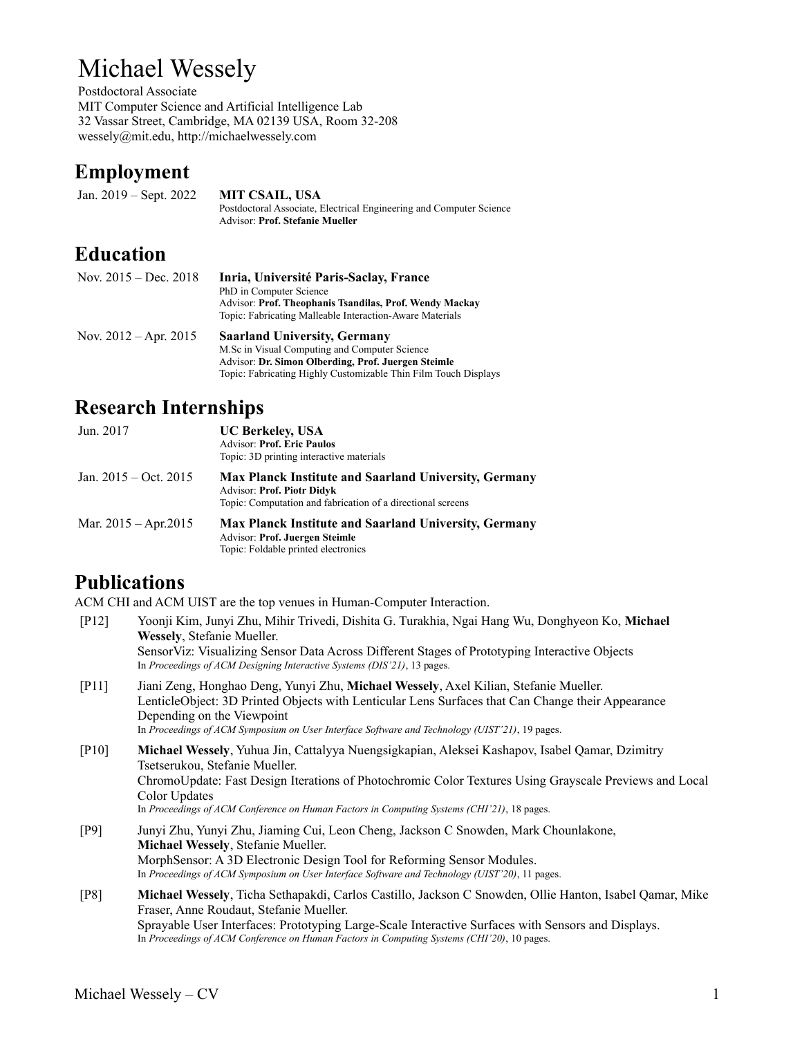# Michael Wessely

Postdoctoral Associate MIT Computer Science and Artificial Intelligence Lab 32 Vassar Street, Cambridge, MA 02139 USA, Room 32-208 wessely@mit.edu, http://michaelwessely.com

### **Employment**

Jan. 2019 – Sept. 2022 **MIT CSAIL, USA** Postdoctoral Associate, Electrical Engineering and Computer Science Advisor: **Prof. Stefanie Mueller**

### **Education**

| Nov. $2015 - Dec. 2018$   | Inria, Université Paris-Saclay, France<br>PhD in Computer Science<br><b>Advisor: Prof. Theophanis Tsandilas, Prof. Wendy Mackay</b><br>Topic: Fabricating Malleable Interaction-Aware Materials                |
|---------------------------|----------------------------------------------------------------------------------------------------------------------------------------------------------------------------------------------------------------|
| Nov. $2012 -$ Apr. $2015$ | <b>Saarland University, Germany</b><br>M.Sc in Visual Computing and Computer Science<br>Advisor: Dr. Simon Olberding, Prof. Juergen Steimle<br>Topic: Fabricating Highly Customizable Thin Film Touch Displays |

### **Research Internships**

| Jun. 2017                 | <b>UC Berkeley, USA</b><br><b>Advisor: Prof. Eric Paulos</b><br>Topic: 3D printing interactive materials                                                         |
|---------------------------|------------------------------------------------------------------------------------------------------------------------------------------------------------------|
| Jan. $2015 - Oct. 2015$   | <b>Max Planck Institute and Saarland University, Germany</b><br><b>Advisor: Prof. Piotr Didyk</b><br>Topic: Computation and fabrication of a directional screens |
| Mar. $2015 -$ Apr. $2015$ | <b>Max Planck Institute and Saarland University, Germany</b><br><b>Advisor: Prof. Juergen Steimle</b><br>Topic: Foldable printed electronics                     |

# **Publications**

ACM CHI and ACM UIST are the top venues in Human-Computer Interaction.

- [P12] Yoonji Kim, Junyi Zhu, Mihir Trivedi, Dishita G. Turakhia, Ngai Hang Wu, Donghyeon Ko, **Michael Wessely**, Stefanie Mueller. SensorViz: Visualizing Sensor Data Across Different Stages of Prototyping Interactive Objects In *Proceedings of ACM Designing Interactive Systems (DIS'21)*, 13 pages. [P11] Jiani Zeng, Honghao Deng, Yunyi Zhu, **Michael Wessely**, Axel Kilian, Stefanie Mueller. LenticleObject: 3D Printed Objects with Lenticular Lens Surfaces that Can Change their Appearance Depending on the Viewpoint In *Proceedings of ACM Symposium on User Interface Software and Technology (UIST'21)*, 19 pages. [P10] **Michael Wessely**, Yuhua Jin, Cattalyya Nuengsigkapian, Aleksei Kashapov, Isabel Qamar, Dzimitry Tsetserukou, Stefanie Mueller. ChromoUpdate: Fast Design Iterations of Photochromic Color Textures Using Grayscale Previews and Local Color Updates In *Proceedings of ACM Conference on Human Factors in Computing Systems (CHI'21)*, 18 pages. [P9] Junyi Zhu, Yunyi Zhu, Jiaming Cui, Leon Cheng, Jackson C Snowden, Mark Chounlakone, **Michael Wessely**, Stefanie Mueller. MorphSensor: A 3D Electronic Design Tool for Reforming Sensor Modules. In *Proceedings of ACM Symposium on User Interface Software and Technology (UIST'20)*, 11 pages. [P8] **Michael Wessely**, Ticha Sethapakdi, Carlos Castillo, Jackson C Snowden, Ollie Hanton, Isabel Qamar, Mike
	- Fraser, Anne Roudaut, Stefanie Mueller. Sprayable User Interfaces: Prototyping Large-Scale Interactive Surfaces with Sensors and Displays. In *Proceedings of ACM Conference on Human Factors in Computing Systems (CHI'20)*, 10 pages.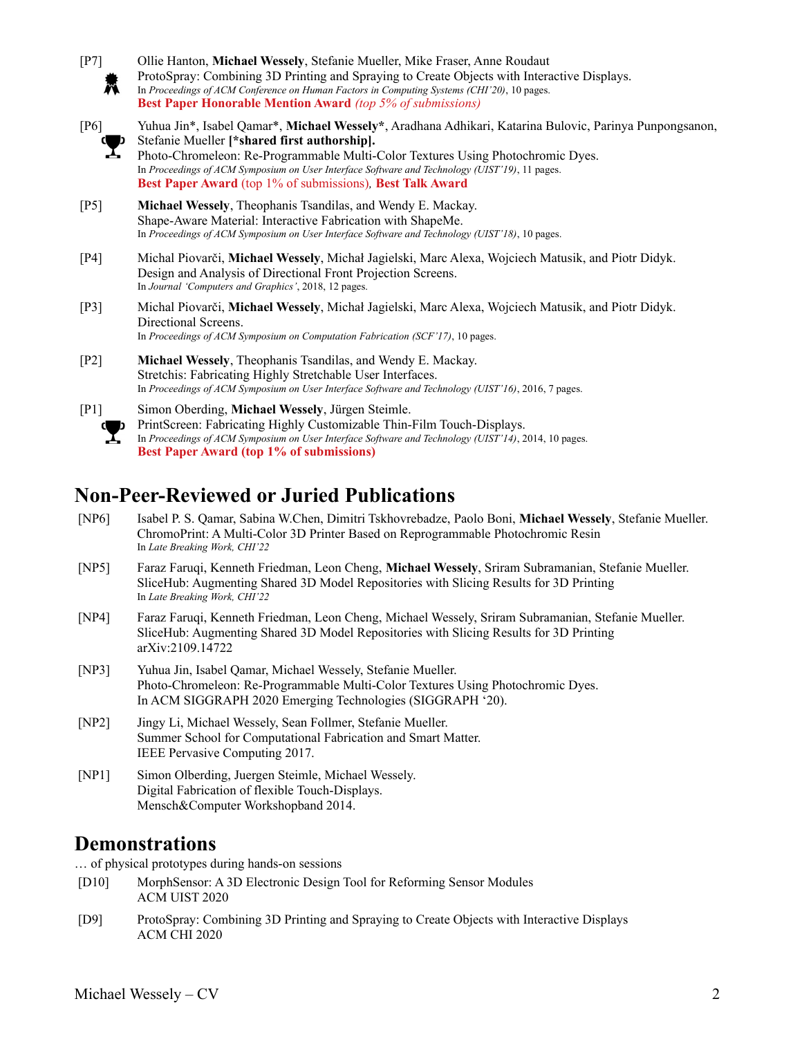- [P7] Ollie Hanton, **Michael Wessely**, Stefanie Mueller, Mike Fraser, Anne Roudaut ProtoSpray: Combining 3D Printing and Spraying to Create Objects with Interactive Displays. M In *Proceedings of ACM Conference on Human Factors in Computing Systems (CHI'20)*, 10 pages. **Best Paper Honorable Mention Award** *(top 5% of submissions)* [P6] Yuhua Jin\*, Isabel Qamar\*, **Michael Wessely\***, Aradhana Adhikari, Katarina Bulovic, Parinya Punpongsanon, Stefanie Mueller **[\*shared first authorship].** Photo-Chromeleon: Re-Programmable Multi-Color Textures Using Photochromic Dyes. In *Proceedings of ACM Symposium on User Interface Software and Technology (UIST'19)*, 11 pages. **Best Paper Award** (top 1% of submissions)*,* **Best Talk Award** [P5] **Michael Wessely**, Theophanis Tsandilas, and Wendy E. Mackay. Shape-Aware Material: Interactive Fabrication with ShapeMe. In *Proceedings of ACM Symposium on User Interface Software and Technology (UIST'18)*, 10 pages. [P4] Michal Piovarči, **Michael Wessely**, Michał Jagielski, Marc Alexa, Wojciech Matusik, and Piotr Didyk. Design and Analysis of Directional Front Projection Screens. In *Journal 'Computers and Graphics'*, 2018, 12 pages. [P3] Michal Piovarči, **Michael Wessely**, Michał Jagielski, Marc Alexa, Wojciech Matusik, and Piotr Didyk. Directional Screens. In *Proceedings of ACM Symposium on Computation Fabrication (SCF'17)*, 10 pages. [P2] **Michael Wessely**, Theophanis Tsandilas, and Wendy E. Mackay. Stretchis: Fabricating Highly Stretchable User Interfaces. In *Proceedings of ACM Symposium on User Interface Software and Technology (UIST'16)*, 2016, 7 pages. [P1] Simon Oberding, **Michael Wessely**, Jürgen Steimle.
	- PrintScreen: Fabricating Highly Customizable Thin-Film Touch-Displays. In *Proceedings of ACM Symposium on User Interface Software and Technology (UIST'14)*, 2014, 10 pages. **Best Paper Award (top 1% of submissions)**

### **Non-Peer-Reviewed or Juried Publications**

- [NP6] Isabel P. S. Qamar, Sabina W.Chen, Dimitri Tskhovrebadze, Paolo Boni, **Michael Wessely**, Stefanie Mueller. ChromoPrint: A Multi-Color 3D Printer Based on Reprogrammable Photochromic Resin In *Late Breaking Work, CHI'22*
- [NP5] Faraz Faruqi, Kenneth Friedman, Leon Cheng, **Michael Wessely**, Sriram Subramanian, Stefanie Mueller. SliceHub: Augmenting Shared 3D Model Repositories with Slicing Results for 3D Printing In *Late Breaking Work, CHI'22*
- [NP4] Faraz Faruqi, Kenneth Friedman, Leon Cheng, Michael Wessely, Sriram Subramanian, Stefanie Mueller. SliceHub: Augmenting Shared 3D Model Repositories with Slicing Results for 3D Printing arXiv:2109.14722
- [NP3] Yuhua Jin, Isabel Qamar, Michael Wessely, Stefanie Mueller. Photo-Chromeleon: Re-Programmable Multi-Color Textures Using Photochromic Dyes. In ACM SIGGRAPH 2020 Emerging Technologies (SIGGRAPH '20).
- [NP2] Jingy Li, Michael Wessely, Sean Follmer, Stefanie Mueller. Summer School for Computational Fabrication and Smart Matter. IEEE Pervasive Computing 2017.
- [NP1] Simon Olberding, Juergen Steimle, Michael Wessely. Digital Fabrication of flexible Touch-Displays. Mensch&Computer Workshopband 2014.

### **Demonstrations**

… of physical prototypes during hands-on sessions

- [D10] MorphSensor: A 3D Electronic Design Tool for Reforming Sensor Modules ACM UIST 2020
- [D9] ProtoSpray: Combining 3D Printing and Spraying to Create Objects with Interactive Displays ACM CHI 2020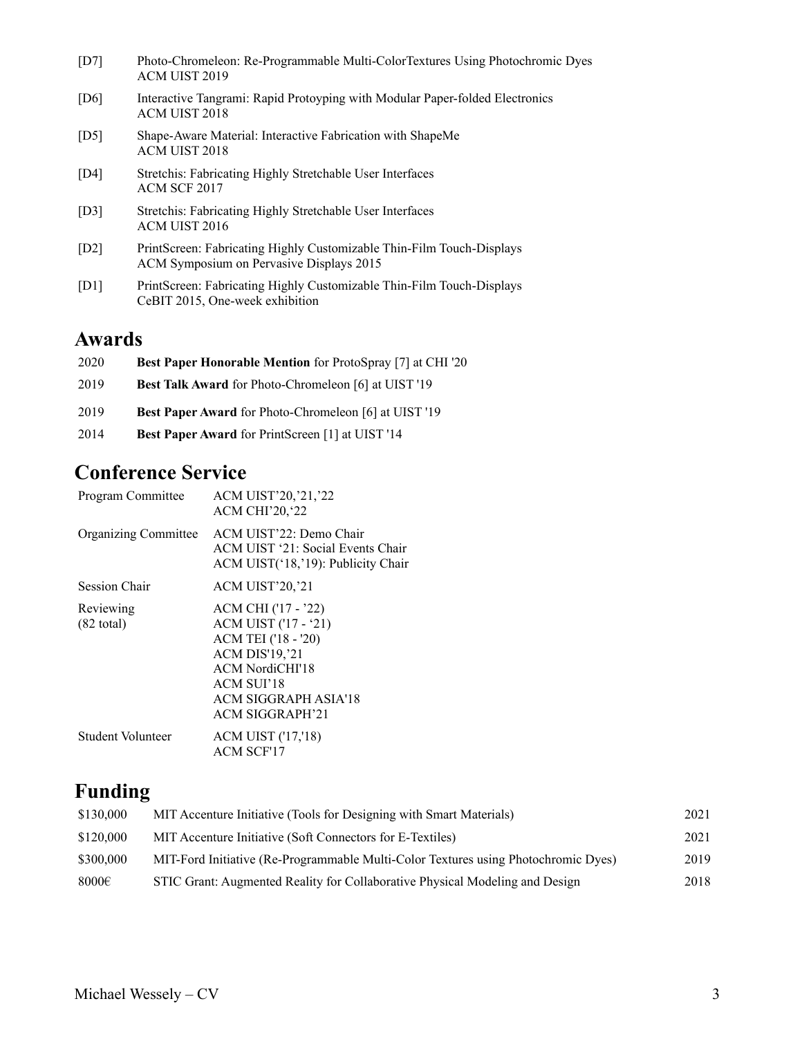| [D7] | Photo-Chromeleon: Re-Programmable Multi-ColorTextures Using Photochromic Dyes<br>ACM UIST 2019                    |
|------|-------------------------------------------------------------------------------------------------------------------|
| [D6] | Interactive Tangrami: Rapid Protoyping with Modular Paper-folded Electronics<br>ACM UIST 2018                     |
| [D5] | Shape-Aware Material: Interactive Fabrication with ShapeMe<br>ACM UIST 2018                                       |
| [D4] | Stretchis: Fabricating Highly Stretchable User Interfaces<br>ACM SCF 2017                                         |
| [D3] | Stretchis: Fabricating Highly Stretchable User Interfaces<br><b>ACM UIST 2016</b>                                 |
| [D2] | PrintScreen: Fabricating Highly Customizable Thin-Film Touch-Displays<br>ACM Symposium on Pervasive Displays 2015 |
| [D1] | PrintScreen: Fabricating Highly Customizable Thin-Film Touch-Displays<br>CeBIT 2015, One-week exhibition          |
|      |                                                                                                                   |

# **Awards**

| 2020 | <b>Best Paper Honorable Mention</b> for ProtoSpray [7] at CHI '20 |
|------|-------------------------------------------------------------------|
| 2019 | <b>Best Talk Award for Photo-Chromeleon [6] at UIST '19</b>       |
| 2019 | <b>Best Paper Award</b> for Photo-Chromeleon [6] at UIST '19      |
| 2014 | <b>Best Paper Award</b> for PrintScreen [1] at UIST '14           |

# **Conference Service**

| Program Committee                 | ACM UIST'20,'21,'22<br><b>ACM CHI'20, 22</b>                                                                                                                                                  |
|-----------------------------------|-----------------------------------------------------------------------------------------------------------------------------------------------------------------------------------------------|
| <b>Organizing Committee</b>       | ACM UIST'22: Demo Chair<br>ACM UIST '21: Social Events Chair<br>ACM UIST('18,'19): Publicity Chair                                                                                            |
| <b>Session Chair</b>              | ACM UIST'20, '21                                                                                                                                                                              |
| Reviewing<br>$(82 \text{ total})$ | ACM CHI ('17 - '22)<br>ACM UIST ('17 - '21)<br>ACM TEI ('18 - '20)<br><b>ACM DIS'19, '21</b><br><b>ACM NordiCHI'18</b><br>ACM SUI'18<br><b>ACM SIGGRAPH ASIA'18</b><br><b>ACM SIGGRAPH'21</b> |
| Student Volunteer                 | <b>ACM UIST ('17,'18)</b><br><b>ACM SCF'17</b>                                                                                                                                                |

# **Funding**

| \$130,000  | MIT Accenture Initiative (Tools for Designing with Smart Materials)                | 2021 |
|------------|------------------------------------------------------------------------------------|------|
| \$120,000  | MIT Accenture Initiative (Soft Connectors for E-Textiles)                          | 2021 |
| \$300,000  | MIT-Ford Initiative (Re-Programmable Multi-Color Textures using Photochromic Dyes) | 2019 |
| 8000 $\in$ | STIC Grant: Augmented Reality for Collaborative Physical Modeling and Design       | 2018 |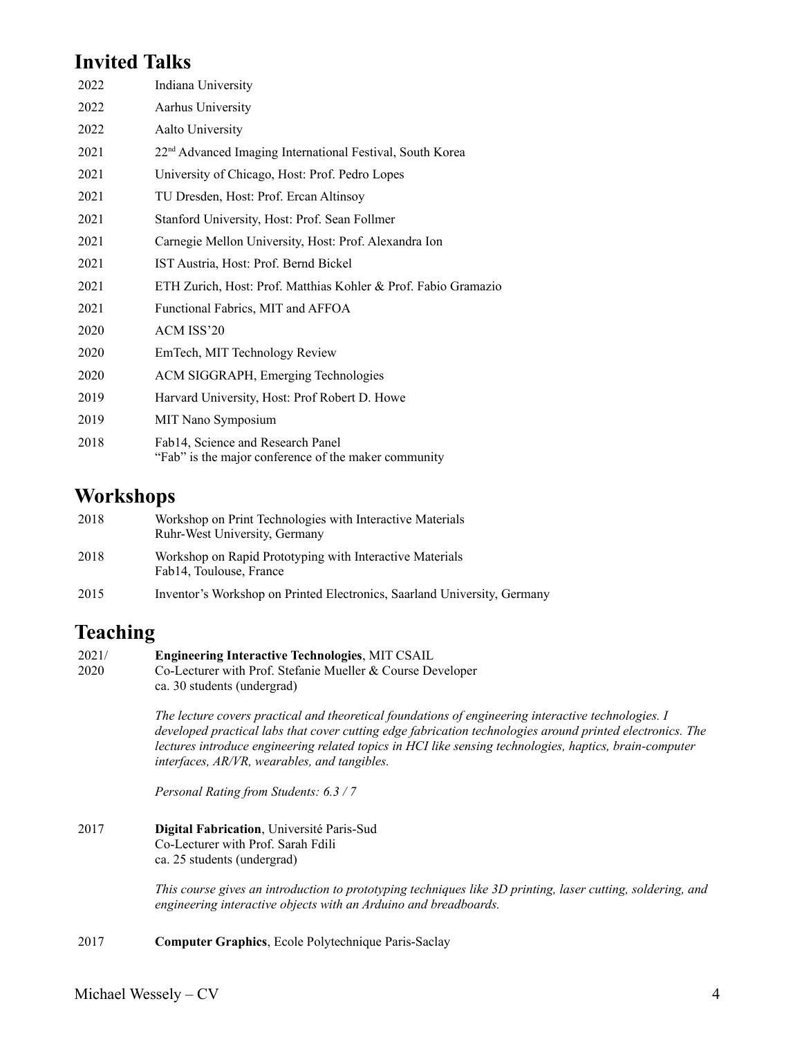# **Invited Talks**

| 2022 | Indiana University                                                                        |
|------|-------------------------------------------------------------------------------------------|
| 2022 | Aarhus University                                                                         |
| 2022 | Aalto University                                                                          |
| 2021 | 22 <sup>nd</sup> Advanced Imaging International Festival, South Korea                     |
| 2021 | University of Chicago, Host: Prof. Pedro Lopes                                            |
| 2021 | TU Dresden, Host: Prof. Ercan Altinsoy                                                    |
| 2021 | Stanford University, Host: Prof. Sean Follmer                                             |
| 2021 | Carnegie Mellon University, Host: Prof. Alexandra Ion                                     |
| 2021 | IST Austria, Host: Prof. Bernd Bickel                                                     |
| 2021 | ETH Zurich, Host: Prof. Matthias Kohler & Prof. Fabio Gramazio                            |
| 2021 | Functional Fabrics, MIT and AFFOA                                                         |
| 2020 | ACM ISS'20                                                                                |
| 2020 | EmTech, MIT Technology Review                                                             |
| 2020 | ACM SIGGRAPH, Emerging Technologies                                                       |
| 2019 | Harvard University, Host: Prof Robert D. Howe                                             |
| 2019 | MIT Nano Symposium                                                                        |
| 2018 | Fab14, Science and Research Panel<br>"Fab" is the major conference of the maker community |

### **Workshops**

| 2018 | Workshop on Print Technologies with Interactive Materials<br>Ruhr-West University, Germany |
|------|--------------------------------------------------------------------------------------------|
| 2018 | Workshop on Rapid Prototyping with Interactive Materials<br>Fab14, Toulouse, France        |
| 2015 | Inventor's Workshop on Printed Electronics, Saarland University, Germany                   |

### **Teaching**

#### 2021/ **Engineering Interactive Technologies**, MIT CSAIL

2020 Co-Lecturer with Prof. Stefanie Mueller & Course Developer ca. 30 students (undergrad)

> *The lecture covers practical and theoretical foundations of engineering interactive technologies. I developed practical labs that cover cutting edge fabrication technologies around printed electronics. The lectures introduce engineering related topics in HCI like sensing technologies, haptics, brain-computer interfaces, AR/VR, wearables, and tangibles.*

*Personal Rating from Students: 6.3 / 7*

2017 **Digital Fabrication**, Université Paris-Sud Co-Lecturer with Prof. Sarah Fdili ca. 25 students (undergrad)

> *This course gives an introduction to prototyping techniques like 3D printing, laser cutting, soldering, and engineering interactive objects with an Arduino and breadboards.*

2017 **Computer Graphics**, Ecole Polytechnique Paris-Saclay